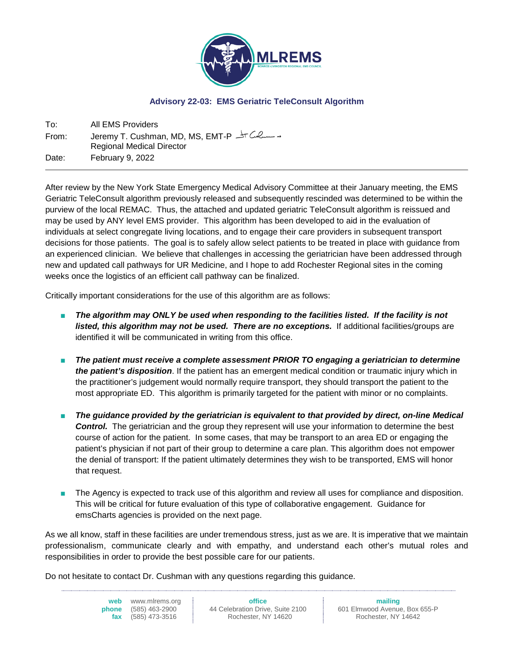

## **Advisory 22-03: EMS Geriatric TeleConsult Algorithm**

To: All EMS Providers From: Jeremy T. Cushman, MD, MS, EMT-P Regional Medical Director Date: February 9, 2022

After review by the New York State Emergency Medical Advisory Committee at their January meeting, the EMS Geriatric TeleConsult algorithm previously released and subsequently rescinded was determined to be within the purview of the local REMAC. Thus, the attached and updated geriatric TeleConsult algorithm is reissued and may be used by ANY level EMS provider. This algorithm has been developed to aid in the evaluation of individuals at select congregate living locations, and to engage their care providers in subsequent transport decisions for those patients. The goal is to safely allow select patients to be treated in place with guidance from an experienced clinician. We believe that challenges in accessing the geriatrician have been addressed through new and updated call pathways for UR Medicine, and I hope to add Rochester Regional sites in the coming weeks once the logistics of an efficient call pathway can be finalized.

Critically important considerations for the use of this algorithm are as follows:

- The algorithm may ONLY be used when responding to the facilities listed. If the facility is not *listed, this algorithm may not be used. There are no exceptions.* If additional facilities/groups are identified it will be communicated in writing from this office.
- *The patient must receive a complete assessment PRIOR TO engaging a geriatrician to determine the patient's disposition*. If the patient has an emergent medical condition or traumatic injury which in the practitioner's judgement would normally require transport, they should transport the patient to the most appropriate ED. This algorithm is primarily targeted for the patient with minor or no complaints.
- The guidance provided by the geriatrician is equivalent to that provided by direct, on-line Medical **Control.** The geriatrician and the group they represent will use your information to determine the best course of action for the patient. In some cases, that may be transport to an area ED or engaging the patient's physician if not part of their group to determine a care plan. This algorithm does not empower the denial of transport: If the patient ultimately determines they wish to be transported, EMS will honor that request.
- The Agency is expected to track use of this algorithm and review all uses for compliance and disposition. This will be critical for future evaluation of this type of collaborative engagement. Guidance for emsCharts agencies is provided on the next page.

As we all know, staff in these facilities are under tremendous stress, just as we are. It is imperative that we maintain professionalism, communicate clearly and with empathy, and understand each other's mutual roles and responsibilities in order to provide the best possible care for our patients.

Do not hesitate to contact Dr. Cushman with any questions regarding this guidance.

**web** www.mlrems.org **phone** (585) 463-2900 **fax** (585) 473-3516

**office** 44 Celebration Drive, Suite 2100 Rochester, NY 14620

**mailing** 601 Elmwood Avenue, Box 655-P Rochester, NY 14642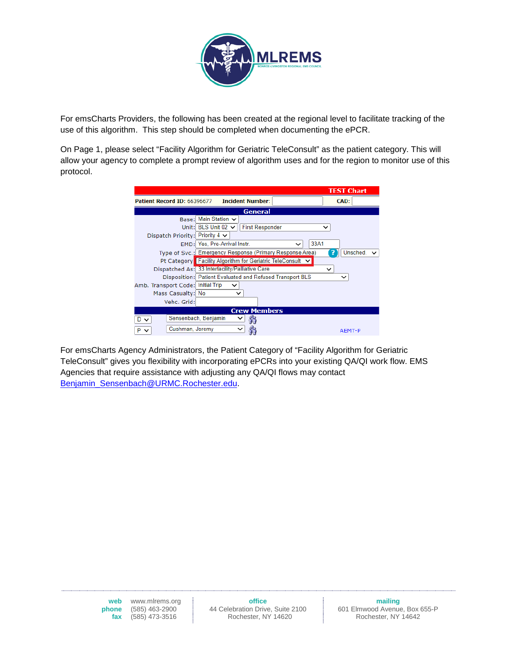

For emsCharts Providers, the following has been created at the regional level to facilitate tracking of the use of this algorithm. This step should be completed when documenting the ePCR.

On Page 1, please select "Facility Algorithm for Geriatric TeleConsult" as the patient category. This will allow your agency to complete a prompt review of algorithm uses and for the region to monitor use of this protocol.

|                                      |                                                            | <b>TEST Chart</b> |
|--------------------------------------|------------------------------------------------------------|-------------------|
| Patient Record ID: 66396677          | <b>Incident Number:</b>                                    | CAD:              |
|                                      | <b>General</b>                                             |                   |
| Base:                                | Main Station $\sim$                                        |                   |
|                                      | Unit: BLS Unit 02 $\vee$<br><b>First Responder</b>         | $\check{ }$       |
| Dispatch Priority: Priority 4 $\sim$ |                                                            |                   |
|                                      | 33A1<br>EMD: Yes, Pre-Arrival Instr.<br>$\check{ }$        |                   |
|                                      | Type of Svc.: Emergency Response (Primary Response Area)   | Unsched. $\vee$   |
|                                      | Pt Category Facility Algorithm for Geriatric TeleConsult V |                   |
|                                      | Dispatched As: 33 Interfacility/Palliative Care            | $\check{ }$       |
|                                      | Disposition: Patient Evaluated and Refused Transport BLS   | ◡                 |
| Amb. Transport Code: Initial Trip    |                                                            |                   |
| Mass Casualty: No                    | $\check{ }$                                                |                   |
| Vehc. Grid:                          |                                                            |                   |
|                                      | <b>Crew Members</b>                                        |                   |
| D.                                   | Sensenbach, Benjamin<br>◡                                  |                   |
| Cushman, Jeremy<br>P                 | $\check{ }$                                                | AEMT-P            |

For emsCharts Agency Administrators, the Patient Category of "Facility Algorithm for Geriatric TeleConsult" gives you flexibility with incorporating ePCRs into your existing QA/QI work flow. EMS Agencies that require assistance with adjusting any QA/QI flows may contact [Benjamin\\_Sensenbach@URMC.Rochester.edu.](mailto:Benjamin_Sensenbach@URMC.Rochester.edu)

> **web** www.mlrems.org **phone** (585) 463-2900<br>**fax** (585) 473-3516 **fax** (585) 473-3516

**office**

44 Celebration Drive, Suite 2100 Rochester, NY 14620

**mailing** 601 Elmwood Avenue, Box 655-P Rochester, NY 14642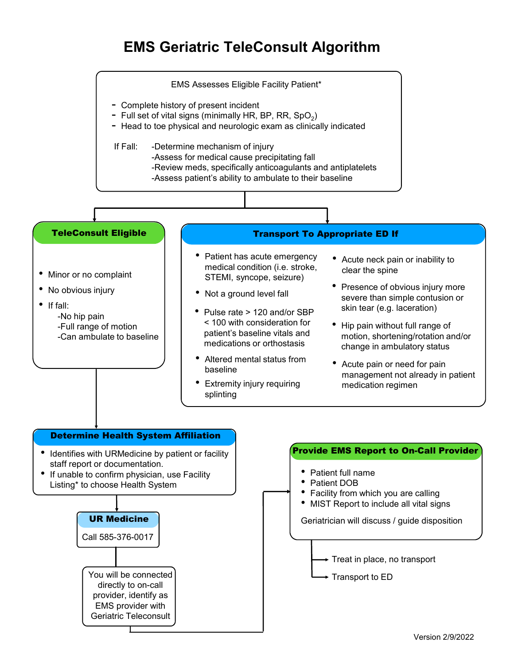